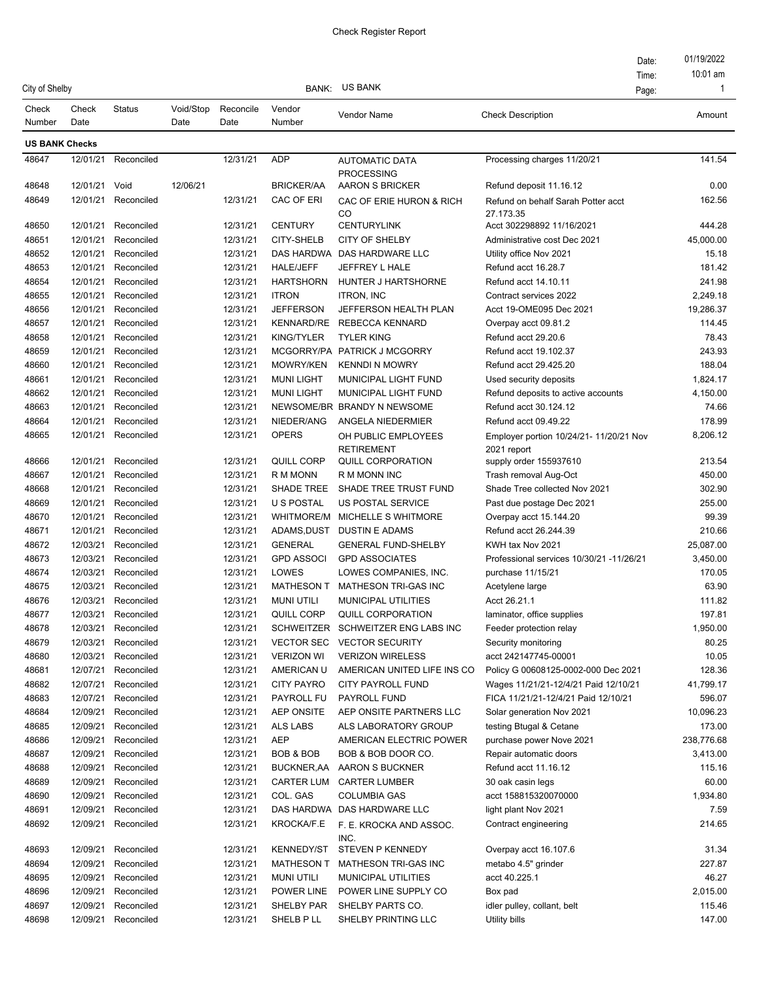| City of Shelby        |               |               |           |           | BANK:             | US BANK                                    |                                                        | Date:<br>Time: | 01/19/2022<br>10:01 am<br>$\mathbf{1}$ |
|-----------------------|---------------|---------------|-----------|-----------|-------------------|--------------------------------------------|--------------------------------------------------------|----------------|----------------------------------------|
| Check                 | Check         | <b>Status</b> | Void/Stop | Reconcile | Vendor            | Vendor Name                                | <b>Check Description</b>                               | Page:          | Amount                                 |
| Number                | Date          |               | Date      | Date      | Number            |                                            |                                                        |                |                                        |
| <b>US BANK Checks</b> |               |               |           |           |                   |                                            |                                                        |                |                                        |
| 48647                 | 12/01/21      | Reconciled    |           | 12/31/21  | <b>ADP</b>        | <b>AUTOMATIC DATA</b><br><b>PROCESSING</b> | Processing charges 11/20/21                            |                | 141.54                                 |
| 48648                 | 12/01/21 Void |               | 12/06/21  |           | <b>BRICKER/AA</b> | <b>AARON S BRICKER</b>                     | Refund deposit 11.16.12                                |                | 0.00                                   |
| 48649                 | 12/01/21      | Reconciled    |           | 12/31/21  | CAC OF ERI        | CAC OF ERIE HURON & RICH<br>CO             | Refund on behalf Sarah Potter acct<br>27.173.35        |                | 162.56                                 |
| 48650                 | 12/01/21      | Reconciled    |           | 12/31/21  | <b>CENTURY</b>    | <b>CENTURYLINK</b>                         | Acct 302298892 11/16/2021                              |                | 444.28                                 |
| 48651                 | 12/01/21      | Reconciled    |           | 12/31/21  | <b>CITY-SHELB</b> | <b>CITY OF SHELBY</b>                      | Administrative cost Dec 2021                           |                | 45,000.00                              |
| 48652                 | 12/01/21      | Reconciled    |           | 12/31/21  |                   | DAS HARDWA DAS HARDWARE LLC                | Utility office Nov 2021                                |                | 15.18                                  |
| 48653                 | 12/01/21      | Reconciled    |           | 12/31/21  | <b>HALE/JEFF</b>  | JEFFREY L HALE                             | Refund acct 16.28.7                                    |                | 181.42                                 |
| 48654                 | 12/01/21      | Reconciled    |           | 12/31/21  | <b>HARTSHORN</b>  | HUNTER J HARTSHORNE                        | Refund acct 14.10.11                                   |                | 241.98                                 |
| 48655                 | 12/01/21      | Reconciled    |           | 12/31/21  | <b>ITRON</b>      | <b>ITRON, INC</b>                          | Contract services 2022                                 |                | 2,249.18                               |
| 48656                 | 12/01/21      | Reconciled    |           | 12/31/21  | <b>JEFFERSON</b>  | JEFFERSON HEALTH PLAN                      | Acct 19-OME095 Dec 2021                                |                | 19,286.37                              |
| 48657                 | 12/01/21      | Reconciled    |           | 12/31/21  |                   | KENNARD/RE REBECCA KENNARD                 | Overpay acct 09.81.2                                   |                | 114.45                                 |
| 48658                 | 12/01/21      | Reconciled    |           | 12/31/21  | <b>KING/TYLER</b> | <b>TYLER KING</b>                          | Refund acct 29.20.6                                    |                | 78.43                                  |
| 48659                 | 12/01/21      | Reconciled    |           | 12/31/21  |                   | MCGORRY/PA PATRICK J MCGORRY               | Refund acct 19.102.37                                  |                | 243.93                                 |
| 48660                 | 12/01/21      | Reconciled    |           | 12/31/21  | MOWRY/KEN         | <b>KENNDI N MOWRY</b>                      | Refund acct 29.425.20                                  |                | 188.04                                 |
| 48661                 | 12/01/21      | Reconciled    |           | 12/31/21  | <b>MUNILIGHT</b>  | MUNICIPAL LIGHT FUND                       | Used security deposits                                 |                | 1.824.17                               |
| 48662                 | 12/01/21      | Reconciled    |           | 12/31/21  | <b>MUNI LIGHT</b> | <b>MUNICIPAL LIGHT FUND</b>                | Refund deposits to active accounts                     |                | 4,150.00                               |
| 48663                 | 12/01/21      | Reconciled    |           | 12/31/21  |                   | NEWSOME/BR BRANDY N NEWSOME                | Refund acct 30.124.12                                  |                | 74.66                                  |
| 48664                 | 12/01/21      | Reconciled    |           | 12/31/21  | NIEDER/ANG        | ANGELA NIEDERMIER                          | Refund acct 09.49.22                                   |                | 178.99                                 |
| 48665                 | 12/01/21      | Reconciled    |           | 12/31/21  | <b>OPERS</b>      | OH PUBLIC EMPLOYEES<br><b>RETIREMENT</b>   | Employer portion 10/24/21- 11/20/21 Nov<br>2021 report |                | 8,206.12                               |
| 48666                 | 12/01/21      | Reconciled    |           | 12/31/21  | QUILL CORP        | <b>QUILL CORPORATION</b>                   | supply order 155937610                                 |                | 213.54                                 |
| 48667                 | 12/01/21      | Reconciled    |           | 12/31/21  | R M MONN          | R M MONN INC                               | Trash removal Aug-Oct                                  |                | 450.00                                 |
| 48668                 | 12/01/21      | Reconciled    |           | 12/31/21  | SHADE TREE        | SHADE TREE TRUST FUND                      | Shade Tree collected Nov 2021                          |                | 302.90                                 |
| 48669                 | 12/01/21      | Reconciled    |           | 12/31/21  | U S POSTAL        | US POSTAL SERVICE                          | Past due postage Dec 2021                              |                | 255.00                                 |
| 48670                 | 12/01/21      | Reconciled    |           | 12/31/21  | <b>WHITMORE/M</b> | MICHELLE S WHITMORE                        | Overpay acct 15.144.20                                 |                | 99.39                                  |
| 48671                 | 12/01/21      | Reconciled    |           | 12/31/21  | ADAMS,DUST        | <b>DUSTIN E ADAMS</b>                      | Refund acct 26.244.39                                  |                | 210.66                                 |
| 48672                 | 12/03/21      | Reconciled    |           | 12/31/21  | <b>GENERAL</b>    | <b>GENERAL FUND-SHELBY</b>                 | KWH tax Nov 2021                                       |                | 25,087.00                              |
| 48673                 | 12/03/21      | Reconciled    |           | 12/31/21  | <b>GPD ASSOCI</b> | <b>GPD ASSOCIATES</b>                      | Professional services 10/30/21 -11/26/21               |                | 3,450.00                               |
| 48674                 | 12/03/21      | Reconciled    |           | 12/31/21  | LOWES             | LOWES COMPANIES, INC.                      | purchase 11/15/21                                      |                | 170.05                                 |
| 48675                 | 12/03/21      | Reconciled    |           | 12/31/21  | <b>MATHESON T</b> | MATHESON TRI-GAS INC                       | Acetylene large                                        |                | 63.90                                  |
| 48676                 | 12/03/21      | Reconciled    |           | 12/31/21  | <b>MUNI UTILI</b> | <b>MUNICIPAL UTILITIES</b>                 | Acct 26.21.1                                           |                | 111.82                                 |
| 48677                 | 12/03/21      | Reconciled    |           | 12/31/21  | QUILL CORP        | QUILL CORPORATION                          | laminator, office supplies                             |                | 197.81                                 |
| 48678                 | 12/03/21      | Reconciled    |           | 12/31/21  |                   | SCHWEITZER SCHWEITZER ENG LABS INC         | Feeder protection relay                                |                | 1,950.00                               |
| 48679                 | 12/03/21      | Reconciled    |           | 12/31/21  | <b>VECTOR SEC</b> | <b>VECTOR SECURITY</b>                     | Security monitoring                                    |                | 80.25                                  |
| 48680                 | 12/03/21      | Reconciled    |           | 12/31/21  | <b>VERIZON WI</b> | <b>VERIZON WIRELESS</b>                    | acct 242147745-00001                                   |                | 10.05                                  |
| 48681                 | 12/07/21      | Reconciled    |           | 12/31/21  | AMERICAN U        | AMERICAN UNITED LIFE INS CO                | Policy G 00608125-0002-000 Dec 2021                    |                | 128.36                                 |
| 48682                 | 12/07/21      | Reconciled    |           | 12/31/21  | <b>CITY PAYRO</b> | <b>CITY PAYROLL FUND</b>                   | Wages 11/21/21-12/4/21 Paid 12/10/21                   |                | 41,799.17                              |
| 48683                 | 12/07/21      | Reconciled    |           | 12/31/21  | PAYROLL FU        | PAYROLL FUND                               | FICA 11/21/21-12/4/21 Paid 12/10/21                    |                | 596.07                                 |
| 48684                 | 12/09/21      | Reconciled    |           | 12/31/21  | <b>AEP ONSITE</b> | AEP ONSITE PARTNERS LLC                    | Solar generation Nov 2021                              |                | 10,096.23                              |
| 48685                 | 12/09/21      | Reconciled    |           | 12/31/21  | ALS LABS          | ALS LABORATORY GROUP                       | testing Btugal & Cetane                                |                | 173.00                                 |
| 48686                 | 12/09/21      | Reconciled    |           | 12/31/21  | AEP               | AMERICAN ELECTRIC POWER                    | purchase power Nove 2021                               |                | 238,776.68                             |
| 48687                 | 12/09/21      | Reconciled    |           | 12/31/21  | BOB & BOB         | BOB & BOB DOOR CO.                         | Repair automatic doors                                 |                | 3,413.00                               |
| 48688                 | 12/09/21      | Reconciled    |           | 12/31/21  | BUCKNER,AA        | AARON S BUCKNER                            | Refund acct 11.16.12                                   |                | 115.16                                 |
| 48689                 | 12/09/21      | Reconciled    |           | 12/31/21  | CARTER LUM        | <b>CARTER LUMBER</b>                       | 30 oak casin legs                                      |                | 60.00                                  |
| 48690                 | 12/09/21      | Reconciled    |           | 12/31/21  | COL. GAS          | <b>COLUMBIA GAS</b>                        | acct 158815320070000                                   |                | 1,934.80                               |
| 48691                 | 12/09/21      | Reconciled    |           | 12/31/21  |                   | DAS HARDWA DAS HARDWARE LLC                | light plant Nov 2021                                   |                | 7.59                                   |
| 48692                 | 12/09/21      | Reconciled    |           | 12/31/21  | KROCKA/F.E        | F. E. KROCKA AND ASSOC.<br>INC.            | Contract engineering                                   |                | 214.65                                 |
| 48693                 | 12/09/21      | Reconciled    |           | 12/31/21  | <b>KENNEDY/ST</b> | STEVEN P KENNEDY                           | Overpay acct 16.107.6                                  |                | 31.34                                  |
| 48694                 | 12/09/21      | Reconciled    |           | 12/31/21  | <b>MATHESON T</b> | MATHESON TRI-GAS INC                       | metabo 4.5" grinder                                    |                | 227.87                                 |
| 48695                 | 12/09/21      | Reconciled    |           | 12/31/21  | <b>MUNI UTILI</b> | <b>MUNICIPAL UTILITIES</b>                 | acct 40.225.1                                          |                | 46.27                                  |
| 48696                 | 12/09/21      | Reconciled    |           | 12/31/21  | POWER LINE        | POWER LINE SUPPLY CO                       | Box pad                                                |                | 2,015.00                               |
| 48697                 | 12/09/21      | Reconciled    |           | 12/31/21  | SHELBY PAR        | SHELBY PARTS CO.                           | idler pulley, collant, belt                            |                | 115.46                                 |
| 48698                 | 12/09/21      | Reconciled    |           | 12/31/21  | SHELB P LL        | SHELBY PRINTING LLC                        | Utility bills                                          |                | 147.00                                 |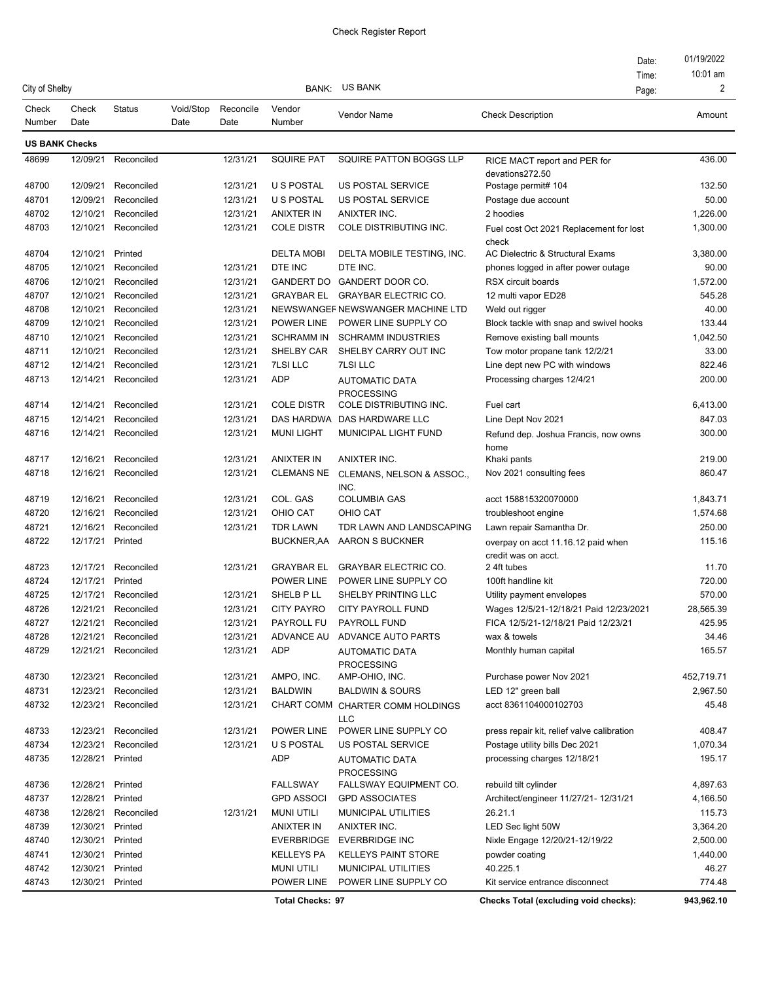|                       |               |                     |                   |                   |                         |                                                | Date:                                                     | 01/19/2022 |
|-----------------------|---------------|---------------------|-------------------|-------------------|-------------------------|------------------------------------------------|-----------------------------------------------------------|------------|
|                       |               |                     |                   |                   |                         |                                                | Time:                                                     | $10:01$ am |
| City of Shelby        |               |                     |                   |                   | <b>BANK:</b>            | <b>US BANK</b>                                 | Page:                                                     | 2          |
| Check<br>Number       | Check<br>Date | <b>Status</b>       | Void/Stop<br>Date | Reconcile<br>Date | Vendor<br>Number        | Vendor Name                                    | <b>Check Description</b>                                  | Amount     |
| <b>US BANK Checks</b> |               |                     |                   |                   |                         |                                                |                                                           |            |
| 48699                 | 12/09/21      | Reconciled          |                   | 12/31/21          | <b>SQUIRE PAT</b>       | SQUIRE PATTON BOGGS LLP                        | RICE MACT report and PER for                              | 436.00     |
|                       |               |                     |                   |                   |                         |                                                | devations272.50                                           |            |
| 48700                 | 12/09/21      | Reconciled          |                   | 12/31/21          | <b>U S POSTAL</b>       | <b>US POSTAL SERVICE</b>                       | Postage permit# 104                                       | 132.50     |
| 48701                 | 12/09/21      | Reconciled          |                   | 12/31/21          | <b>U S POSTAL</b>       | US POSTAL SERVICE                              | Postage due account                                       | 50.00      |
| 48702                 | 12/10/21      | Reconciled          |                   | 12/31/21          | <b>ANIXTER IN</b>       | ANIXTER INC.                                   | 2 hoodies                                                 | 1.226.00   |
| 48703                 | 12/10/21      | Reconciled          |                   | 12/31/21          | <b>COLE DISTR</b>       | COLE DISTRIBUTING INC.                         | Fuel cost Oct 2021 Replacement for lost<br>check          | 1,300.00   |
| 48704                 | 12/10/21      | Printed             |                   |                   | <b>DELTA MOBI</b>       | DELTA MOBILE TESTING, INC.                     | AC Dielectric & Structural Exams                          | 3,380.00   |
| 48705                 | 12/10/21      | Reconciled          |                   | 12/31/21          | DTE INC                 | DTE INC.                                       | phones logged in after power outage                       | 90.00      |
| 48706                 | 12/10/21      | Reconciled          |                   | 12/31/21          |                         | GANDERT DO GANDERT DOOR CO.                    | RSX circuit boards                                        | 1,572.00   |
| 48707                 | 12/10/21      | Reconciled          |                   | 12/31/21          | GRAYBAR EL              | <b>GRAYBAR ELECTRIC CO.</b>                    | 12 multi vapor ED28                                       | 545.28     |
| 48708                 | 12/10/21      | Reconciled          |                   | 12/31/21          |                         | NEWSWANGEF NEWSWANGER MACHINE LTD              | Weld out rigger                                           | 40.00      |
| 48709                 | 12/10/21      | Reconciled          |                   | 12/31/21          | POWER LINE              | POWER LINE SUPPLY CO                           | Block tackle with snap and swivel hooks                   | 133.44     |
| 48710                 | 12/10/21      | Reconciled          |                   | 12/31/21          | <b>SCHRAMM IN</b>       | <b>SCHRAMM INDUSTRIES</b>                      | Remove existing ball mounts                               | 1,042.50   |
| 48711                 | 12/10/21      | Reconciled          |                   | 12/31/21          | SHELBY CAR              | SHELBY CARRY OUT INC                           | Tow motor propane tank 12/2/21                            | 33.00      |
| 48712                 | 12/14/21      | Reconciled          |                   | 12/31/21          | <b>7LSI LLC</b>         | <b>7LSI LLC</b>                                | Line dept new PC with windows                             | 822.46     |
| 48713                 | 12/14/21      | Reconciled          |                   | 12/31/21          | <b>ADP</b>              | <b>AUTOMATIC DATA</b><br><b>PROCESSING</b>     | Processing charges 12/4/21                                | 200.00     |
| 48714                 | 12/14/21      | Reconciled          |                   | 12/31/21          | <b>COLE DISTR</b>       | COLE DISTRIBUTING INC.                         | Fuel cart                                                 | 6,413.00   |
| 48715                 | 12/14/21      | Reconciled          |                   | 12/31/21          |                         | DAS HARDWA DAS HARDWARE LLC                    | Line Dept Nov 2021                                        | 847.03     |
| 48716                 | 12/14/21      | Reconciled          |                   | 12/31/21          | <b>MUNI LIGHT</b>       | MUNICIPAL LIGHT FUND                           | Refund dep. Joshua Francis, now owns<br>home              | 300.00     |
| 48717                 | 12/16/21      | Reconciled          |                   | 12/31/21          | <b>ANIXTER IN</b>       | ANIXTER INC.                                   | Khaki pants                                               | 219.00     |
| 48718                 | 12/16/21      | Reconciled          |                   | 12/31/21          | <b>CLEMANS NE</b>       | CLEMANS, NELSON & ASSOC.,<br>INC.              | Nov 2021 consulting fees                                  | 860.47     |
| 48719                 | 12/16/21      | Reconciled          |                   | 12/31/21          | COL. GAS                | <b>COLUMBIA GAS</b>                            | acct 158815320070000                                      | 1,843.71   |
| 48720                 | 12/16/21      | Reconciled          |                   | 12/31/21          | OHIO CAT                | <b>OHIO CAT</b>                                | troubleshoot engine                                       | 1,574.68   |
| 48721                 | 12/16/21      | Reconciled          |                   | 12/31/21          | <b>TDR LAWN</b>         | TDR LAWN AND LANDSCAPING                       | Lawn repair Samantha Dr.                                  | 250.00     |
| 48722                 | 12/17/21      | Printed             |                   |                   | BUCKNER,AA              | AARON S BUCKNER                                | overpay on acct 11.16.12 paid when<br>credit was on acct. | 115.16     |
| 48723                 | 12/17/21      | Reconciled          |                   | 12/31/21          | <b>GRAYBAR EL</b>       | <b>GRAYBAR ELECTRIC CO.</b>                    | 2 4ft tubes                                               | 11.70      |
| 48724                 | 12/17/21      | Printed             |                   |                   | POWER LINE              | POWER LINE SUPPLY CO                           | 100ft handline kit                                        | 720.00     |
| 48725                 | 12/17/21      | Reconciled          |                   | 12/31/21          | SHELB PLL               | SHELBY PRINTING LLC                            | Utility payment envelopes                                 | 570.00     |
| 48726                 | 12/21/21      | Reconciled          |                   | 12/31/21          | <b>CITY PAYRO</b>       | CITY PAYROLL FUND                              | Wages 12/5/21-12/18/21 Paid 12/23/2021                    | 28,565.39  |
| 48727                 |               | 12/21/21 Reconciled |                   | 12/31/21          | PAYROLL FU              | PAYROLL FUND                                   | FICA 12/5/21-12/18/21 Paid 12/23/21                       | 425.95     |
| 48728                 | 12/21/21      | Reconciled          |                   | 12/31/21          | ADVANCE AU              | ADVANCE AUTO PARTS                             | wax & towels                                              | 34.46      |
| 48729                 | 12/21/21      | Reconciled          |                   | 12/31/21          | ADP                     | <b>AUTOMATIC DATA</b><br>PROCESSING            | Monthly human capital                                     | 165.57     |
| 48730                 | 12/23/21      | Reconciled          |                   | 12/31/21          | AMPO, INC.              | AMP-OHIO, INC.                                 | Purchase power Nov 2021                                   | 452,719.71 |
| 48731                 | 12/23/21      | Reconciled          |                   | 12/31/21          | <b>BALDWIN</b>          | <b>BALDWIN &amp; SOURS</b>                     | LED 12" green ball                                        | 2,967.50   |
| 48732                 | 12/23/21      | Reconciled          |                   | 12/31/21          |                         | CHART COMM CHARTER COMM HOLDINGS<br><b>LLC</b> | acct 8361104000102703                                     | 45.48      |
| 48733                 | 12/23/21      | Reconciled          |                   | 12/31/21          | POWER LINE              | POWER LINE SUPPLY CO                           | press repair kit, relief valve calibration                | 408.47     |
| 48734                 | 12/23/21      | Reconciled          |                   | 12/31/21          | <b>U S POSTAL</b>       | <b>US POSTAL SERVICE</b>                       | Postage utility bills Dec 2021                            | 1,070.34   |
| 48735                 | 12/28/21      | Printed             |                   |                   | ADP                     | <b>AUTOMATIC DATA</b><br><b>PROCESSING</b>     | processing charges 12/18/21                               | 195.17     |
| 48736                 | 12/28/21      | Printed             |                   |                   | <b>FALLSWAY</b>         | FALLSWAY EQUIPMENT CO.                         | rebuild tilt cylinder                                     | 4,897.63   |
| 48737                 | 12/28/21      | Printed             |                   |                   | <b>GPD ASSOCI</b>       | <b>GPD ASSOCIATES</b>                          | Architect/engineer 11/27/21- 12/31/21                     | 4,166.50   |
| 48738                 | 12/28/21      | Reconciled          |                   | 12/31/21          | <b>MUNI UTILI</b>       | MUNICIPAL UTILITIES                            | 26.21.1                                                   | 115.73     |
| 48739                 | 12/30/21      | Printed             |                   |                   | ANIXTER IN              | ANIXTER INC.                                   | LED Sec light 50W                                         | 3,364.20   |
| 48740                 | 12/30/21      | Printed             |                   |                   | <b>EVERBRIDGE</b>       | <b>EVERBRIDGE INC</b>                          | Nixle Engage 12/20/21-12/19/22                            | 2,500.00   |
| 48741                 | 12/30/21      | Printed             |                   |                   | <b>KELLEYS PA</b>       | <b>KELLEYS PAINT STORE</b>                     | powder coating                                            | 1,440.00   |
| 48742                 | 12/30/21      | Printed             |                   |                   | <b>MUNI UTILI</b>       | <b>MUNICIPAL UTILITIES</b>                     | 40.225.1                                                  | 46.27      |
| 48743                 | 12/30/21      | Printed             |                   |                   | POWER LINE              | POWER LINE SUPPLY CO                           | Kit service entrance disconnect                           | 774.48     |
|                       |               |                     |                   |                   | <b>Total Checks: 97</b> |                                                | Checks Total (excluding void checks):                     | 943,962.10 |